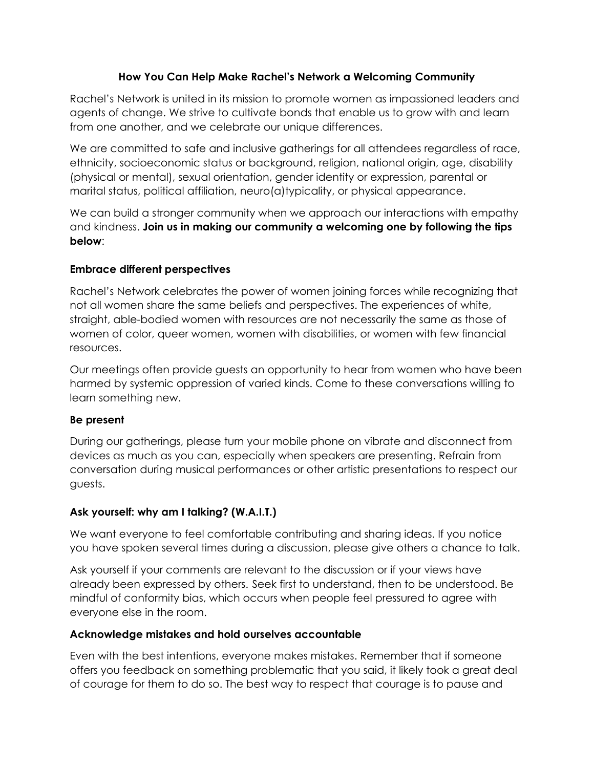#### **How You Can Help Make Rachel's Network a Welcoming Community**

Rachel's Network is united in its mission to promote women as impassioned leaders and agents of change. We strive to cultivate bonds that enable us to grow with and learn from one another, and we celebrate our unique differences.

We are committed to safe and inclusive gatherings for all attendees regardless of race, ethnicity, socioeconomic status or background, religion, national origin, age, disability (physical or mental), sexual orientation, gender identity or expression, parental or marital status, political affiliation, neuro(a)typicality, or physical appearance.

We can build a stronger community when we approach our interactions with empathy and kindness. **Join us in making our community a welcoming one by following the tips below**:

#### **Embrace different perspectives**

Rachel's Network celebrates the power of women joining forces while recognizing that not all women share the same beliefs and perspectives. The experiences of white, straight, able-bodied women with resources are not necessarily the same as those of women of color, queer women, women with disabilities, or women with few financial resources.

Our meetings often provide guests an opportunity to hear from women who have been harmed by systemic oppression of varied kinds. Come to these conversations willing to learn something new.

# **Be present**

During our gatherings, please turn your mobile phone on vibrate and disconnect from devices as much as you can, especially when speakers are presenting. Refrain from conversation during musical performances or other artistic presentations to respect our guests.

# **Ask yourself: why am I talking? (W.A.I.T.)**

We want everyone to feel comfortable contributing and sharing ideas. If you notice you have spoken several times during a discussion, please give others a chance to talk.

Ask yourself if your comments are relevant to the discussion or if your views have already been expressed by others. Seek first to understand, then to be understood. Be mindful of conformity bias, which occurs when people feel pressured to agree with everyone else in the room.

# **Acknowledge mistakes and hold ourselves accountable**

Even with the best intentions, everyone makes mistakes. Remember that if someone offers you feedback on something problematic that you said, it likely took a great deal of courage for them to do so. The best way to respect that courage is to pause and